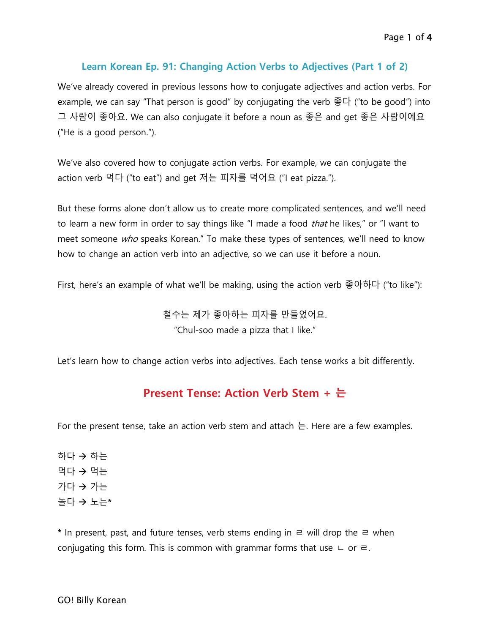#### **Learn Korean Ep. 91: Changing Action Verbs to Adjectives (Part 1 of 2)**

We've already covered in previous lessons how to conjugate adjectives and action verbs. For example, we can say "That person is good" by conjugating the verb 좋다 ("to be good") into 그 사람이 좋아요. We can also conjugate it before a noun as 좋은 and get 좋은 사람이에요 ("He is a good person.").

We've also covered how to conjugate action verbs. For example, we can conjugate the action verb 먹다 ("to eat") and get 저는 피자를 먹어요 ("I eat pizza.").

But these forms alone don't allow us to create more complicated sentences, and we'll need to learn a new form in order to say things like "I made a food *that* he likes," or "I want to meet someone who speaks Korean." To make these types of sentences, we'll need to know how to change an action verb into an adjective, so we can use it before a noun.

First, here's an example of what we'll be making, using the action verb 좋아하다 ("to like"):

철수는 제가 좋아하는 피자를 만들었어요. "Chul-soo made a pizza that I like."

Let's learn how to change action verbs into adjectives. Each tense works a bit differently.

#### **Present Tense: Action Verb Stem + 는**

For the present tense, take an action verb stem and attach  $\pm$ . Here are a few examples.

하다  $\rightarrow$  하는 먹다  $\rightarrow$  먹는  $7 + 7 + 7$ 놀다 노는**\***

**\*** In present, past, and future tenses, verb stems ending in ㄹ will drop the ㄹ when conjugating this form. This is common with grammar forms that use  $\sqcup$  or  $\equiv$ .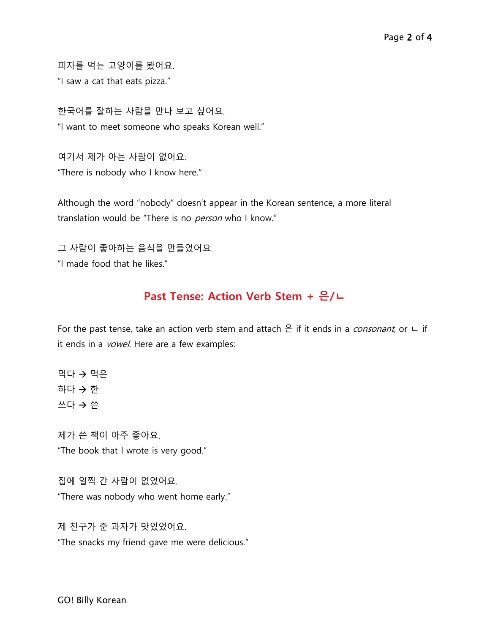피자를 먹는 고양이를 봤어요.

"I saw a cat that eats pizza."

한국어를 잘하는 사람을 만나 보고 싶어요. "I want to meet someone who speaks Korean well."

여기서 제가 아는 사람이 없어요. "There is nobody who I know here."

Although the word "nobody" doesn't appear in the Korean sentence, a more literal translation would be "There is no *person* who I know."

그 사람이 좋아하는 음식을 만들었어요. "I made food that he likes."

## **Past Tense: Action Verb Stem + 은/ㄴ**

For the past tense, take an action verb stem and attach  $\triangle$  if it ends in a *consonant*, or  $\sqcup$  if it ends in a *vowel*. Here are a few examples:

먹다  $\rightarrow$  먹은 하다  $\rightarrow$  한 쓰다 → 쓴

제가 쓴 책이 아주 좋아요. "The book that I wrote is very good."

집에 일찍 간 사람이 없었어요. "There was nobody who went home early."

제 친구가 준 과자가 맛있었어요. "The snacks my friend gave me were delicious."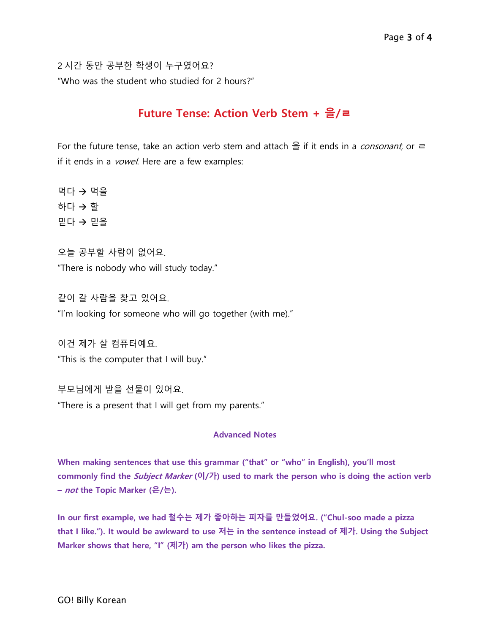2 시간 동안 공부한 학생이 누구였어요? "Who was the student who studied for 2 hours?"

### **Future Tense: Action Verb Stem + 을/ㄹ**

For the future tense, take an action verb stem and attach  $\frac{1}{2}$  if it ends in a *consonant*, or  $\equiv$ if it ends in a *vowel*. Here are a few examples:

먹다  $\rightarrow$  먹을 하다  $\rightarrow$  할  $PL$ 다  $\rightarrow$  믿을

오늘 공부할 사람이 없어요. "There is nobody who will study today."

같이 갈 사람을 찾고 있어요. "I'm looking for someone who will go together (with me)."

이건 제가 살 컴퓨터예요.

"This is the computer that I will buy."

부모님에게 받을 선물이 있어요.

"There is a present that I will get from my parents."

#### **Advanced Notes**

**When making sentences that use this grammar ("that" or "who" in English), you'll most commonly find the Subject Marker (이/가) used to mark the person who is doing the action verb – not the Topic Marker (은/는).**

**In our first example, we had 철수는 제가 좋아하는 피자를 만들었어요. ("Chul-soo made a pizza that I like."). It would be awkward to use 저는 in the sentence instead of 제가. Using the Subject Marker shows that here, "I" (제가) am the person who likes the pizza.**